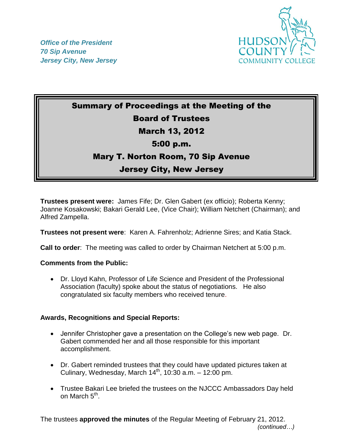



# Summary of Proceedings at the Meeting of the Board of Trustees March 13, 2012 5:00 p.m.

## Mary T. Norton Room, 70 Sip Avenue

## Jersey City, New Jersey

**Trustees present were:** James Fife; Dr. Glen Gabert (ex officio); Roberta Kenny; Joanne Kosakowski; Bakari Gerald Lee, (Vice Chair); William Netchert (Chairman); and Alfred Zampella.

**Trustees not present were**: Karen A. Fahrenholz; Adrienne Sires; and Katia Stack.

**Call to order**: The meeting was called to order by Chairman Netchert at 5:00 p.m.

### **Comments from the Public:**

 Dr. Lloyd Kahn, Professor of Life Science and President of the Professional Association (faculty) spoke about the status of negotiations. He also congratulated six faculty members who received tenure.

### **Awards, Recognitions and Special Reports:**

- Jennifer Christopher gave a presentation on the College's new web page. Dr. Gabert commended her and all those responsible for this important accomplishment.
- Dr. Gabert reminded trustees that they could have updated pictures taken at Culinary, Wednesday, March  $14<sup>th</sup>$ , 10:30 a.m. – 12:00 pm.
- Trustee Bakari Lee briefed the trustees on the NJCCC Ambassadors Day held on March 5<sup>th</sup>.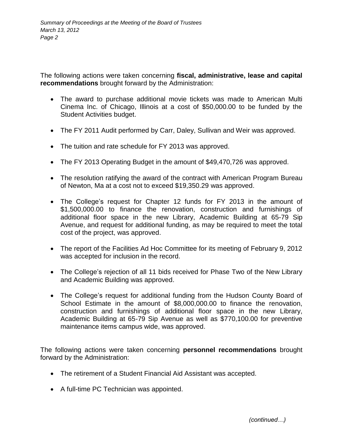The following actions were taken concerning **fiscal, administrative, lease and capital recommendations** brought forward by the Administration:

- The award to purchase additional movie tickets was made to American Multi Cinema Inc. of Chicago, Illinois at a cost of \$50,000.00 to be funded by the Student Activities budget.
- The FY 2011 Audit performed by Carr, Daley, Sullivan and Weir was approved.
- The tuition and rate schedule for FY 2013 was approved.
- The FY 2013 Operating Budget in the amount of \$49,470,726 was approved.
- The resolution ratifying the award of the contract with American Program Bureau of Newton, Ma at a cost not to exceed \$19,350.29 was approved.
- The College's request for Chapter 12 funds for FY 2013 in the amount of \$1,500,000.00 to finance the renovation, construction and furnishings of additional floor space in the new Library, Academic Building at 65-79 Sip Avenue, and request for additional funding, as may be required to meet the total cost of the project, was approved.
- The report of the Facilities Ad Hoc Committee for its meeting of February 9, 2012 was accepted for inclusion in the record.
- The College's rejection of all 11 bids received for Phase Two of the New Library and Academic Building was approved.
- The College's request for additional funding from the Hudson County Board of School Estimate in the amount of \$8,000,000.00 to finance the renovation, construction and furnishings of additional floor space in the new Library, Academic Building at 65-79 Sip Avenue as well as \$770,100.00 for preventive maintenance items campus wide, was approved.

The following actions were taken concerning **personnel recommendations** brought forward by the Administration:

- The retirement of a Student Financial Aid Assistant was accepted.
- A full-time PC Technician was appointed.